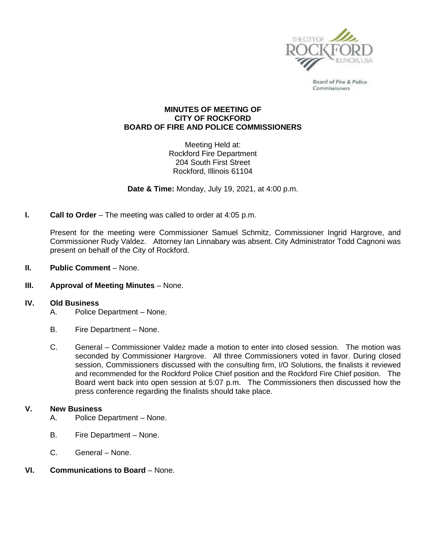

Board of Fire & Police Commissioners

## **MINUTES OF MEETING OF CITY OF ROCKFORD BOARD OF FIRE AND POLICE COMMISSIONERS**

Meeting Held at: Rockford Fire Department 204 South First Street Rockford, Illinois 61104

**Date & Time:** Monday, July 19, 2021, at 4:00 p.m.

**I. Call to Order** – The meeting was called to order at 4:05 p.m.

Present for the meeting were Commissioner Samuel Schmitz, Commissioner Ingrid Hargrove, and Commissioner Rudy Valdez. Attorney Ian Linnabary was absent. City Administrator Todd Cagnoni was present on behalf of the City of Rockford.

- **II. Public Comment** None.
- **III. Approval of Meeting Minutes** None.

## **IV. Old Business**

- A. Police Department None.
- B. Fire Department None.
- C. General Commissioner Valdez made a motion to enter into closed session. The motion was seconded by Commissioner Hargrove. All three Commissioners voted in favor. During closed session, Commissioners discussed with the consulting firm, I/O Solutions, the finalists it reviewed and recommended for the Rockford Police Chief position and the Rockford Fire Chief position. The Board went back into open session at 5:07 p.m. The Commissioners then discussed how the press conference regarding the finalists should take place.

## **V. New Business**

- A. Police Department None.
- B. Fire Department None.
- C. General None.
- **VI. Communications to Board** None.